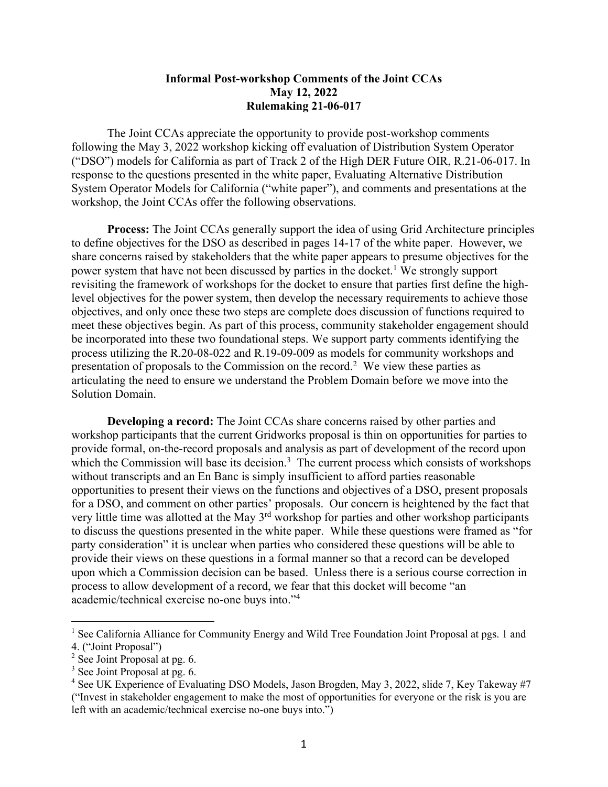## **Informal Post-workshop Comments of the Joint CCAs May 12, 2022 Rulemaking 21-06-017**

The Joint CCAs appreciate the opportunity to provide post-workshop comments following the May 3, 2022 workshop kicking off evaluation of Distribution System Operator ("DSO") models for California as part of Track 2 of the High DER Future OIR, R.21-06-017. In response to the questions presented in the white paper, Evaluating Alternative Distribution System Operator Models for California ("white paper"), and comments and presentations at the workshop, the Joint CCAs offer the following observations.

**Process:** The Joint CCAs generally support the idea of using Grid Architecture principles to define objectives for the DSO as described in pages 14-17 of the white paper. However, we share concerns raised by stakeholders that the white paper appears to presume objectives for the power system that have not been discussed by parties in the docket.<sup>1</sup> We strongly support revisiting the framework of workshops for the docket to ensure that parties first define the highlevel objectives for the power system, then develop the necessary requirements to achieve those objectives, and only once these two steps are complete does discussion of functions required to meet these objectives begin. As part of this process, community stakeholder engagement should be incorporated into these two foundational steps. We support party comments identifying the process utilizing the R.20-08-022 and R.19-09-009 as models for community workshops and presentation of proposals to the Commission on the record.<sup>2</sup> We view these parties as articulating the need to ensure we understand the Problem Domain before we move into the Solution Domain.

**Developing a record:** The Joint CCAs share concerns raised by other parties and workshop participants that the current Gridworks proposal is thin on opportunities for parties to provide formal, on-the-record proposals and analysis as part of development of the record upon which the Commission will base its decision. $3$  The current process which consists of workshops without transcripts and an En Banc is simply insufficient to afford parties reasonable opportunities to present their views on the functions and objectives of a DSO, present proposals for a DSO, and comment on other parties' proposals. Our concern is heightened by the fact that very little time was allotted at the May 3<sup>rd</sup> workshop for parties and other workshop participants to discuss the questions presented in the white paper. While these questions were framed as "for party consideration" it is unclear when parties who considered these questions will be able to provide their views on these questions in a formal manner so that a record can be developed upon which a Commission decision can be based. Unless there is a serious course correction in process to allow development of a record, we fear that this docket will become "an academic/technical exercise no-one buys into."4

<sup>&</sup>lt;sup>1</sup> See California Alliance for Community Energy and Wild Tree Foundation Joint Proposal at pgs. 1 and 4. ("Joint Proposal")

 $2$  See Joint Proposal at pg. 6.

<sup>&</sup>lt;sup>3</sup> See Joint Proposal at pg. 6.

<sup>&</sup>lt;sup>4</sup> See UK Experience of Evaluating DSO Models, Jason Brogden, May 3, 2022, slide 7, Key Takeway #7 ("Invest in stakeholder engagement to make the most of opportunities for everyone or the risk is you are left with an academic/technical exercise no-one buys into.")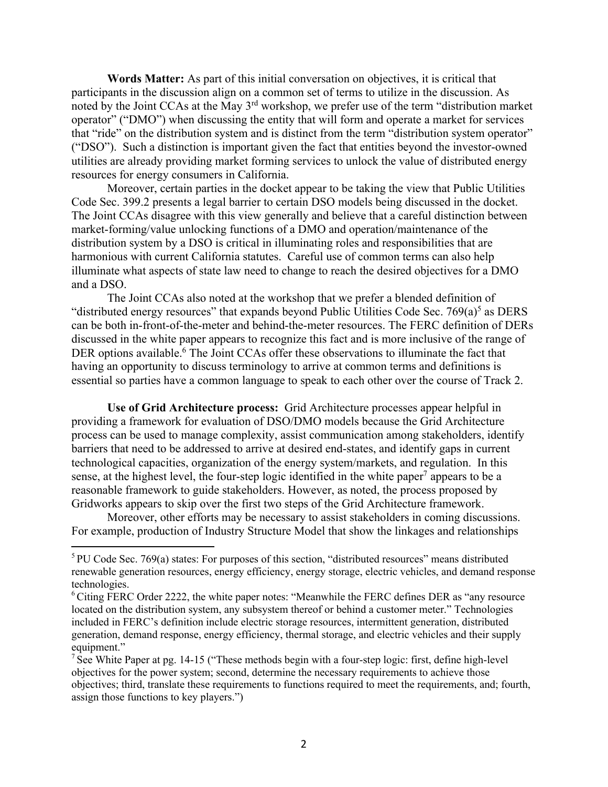**Words Matter:** As part of this initial conversation on objectives, it is critical that participants in the discussion align on a common set of terms to utilize in the discussion. As noted by the Joint CCAs at the May 3rd workshop, we prefer use of the term "distribution market operator" ("DMO") when discussing the entity that will form and operate a market for services that "ride" on the distribution system and is distinct from the term "distribution system operator" ("DSO"). Such a distinction is important given the fact that entities beyond the investor-owned utilities are already providing market forming services to unlock the value of distributed energy resources for energy consumers in California.

Moreover, certain parties in the docket appear to be taking the view that Public Utilities Code Sec. 399.2 presents a legal barrier to certain DSO models being discussed in the docket. The Joint CCAs disagree with this view generally and believe that a careful distinction between market-forming/value unlocking functions of a DMO and operation/maintenance of the distribution system by a DSO is critical in illuminating roles and responsibilities that are harmonious with current California statutes. Careful use of common terms can also help illuminate what aspects of state law need to change to reach the desired objectives for a DMO and a DSO.

The Joint CCAs also noted at the workshop that we prefer a blended definition of "distributed energy resources" that expands beyond Public Utilities Code Sec.  $769(a)^5$  as DERS can be both in-front-of-the-meter and behind-the-meter resources. The FERC definition of DERs discussed in the white paper appears to recognize this fact and is more inclusive of the range of DER options available.<sup>6</sup> The Joint CCAs offer these observations to illuminate the fact that having an opportunity to discuss terminology to arrive at common terms and definitions is essential so parties have a common language to speak to each other over the course of Track 2.

**Use of Grid Architecture process:** Grid Architecture processes appear helpful in providing a framework for evaluation of DSO/DMO models because the Grid Architecture process can be used to manage complexity, assist communication among stakeholders, identify barriers that need to be addressed to arrive at desired end-states, and identify gaps in current technological capacities, organization of the energy system/markets, and regulation. In this sense, at the highest level, the four-step logic identified in the white paper<sup>7</sup> appears to be a reasonable framework to guide stakeholders. However, as noted, the process proposed by Gridworks appears to skip over the first two steps of the Grid Architecture framework.

Moreover, other efforts may be necessary to assist stakeholders in coming discussions. For example, production of Industry Structure Model that show the linkages and relationships

<sup>5</sup> PU Code Sec. 769(a) states: For purposes of this section, "distributed resources" means distributed renewable generation resources, energy efficiency, energy storage, electric vehicles, and demand response technologies.

 $6$  Citing FERC Order 2222, the white paper notes: "Meanwhile the FERC defines DER as "any resource" located on the distribution system, any subsystem thereof or behind a customer meter." Technologies included in FERC's definition include electric storage resources, intermittent generation, distributed generation, demand response, energy efficiency, thermal storage, and electric vehicles and their supply equipment."

<sup>&</sup>lt;sup>7</sup> See White Paper at pg. 14-15 ("These methods begin with a four-step logic: first, define high-level objectives for the power system; second, determine the necessary requirements to achieve those objectives; third, translate these requirements to functions required to meet the requirements, and; fourth, assign those functions to key players.")